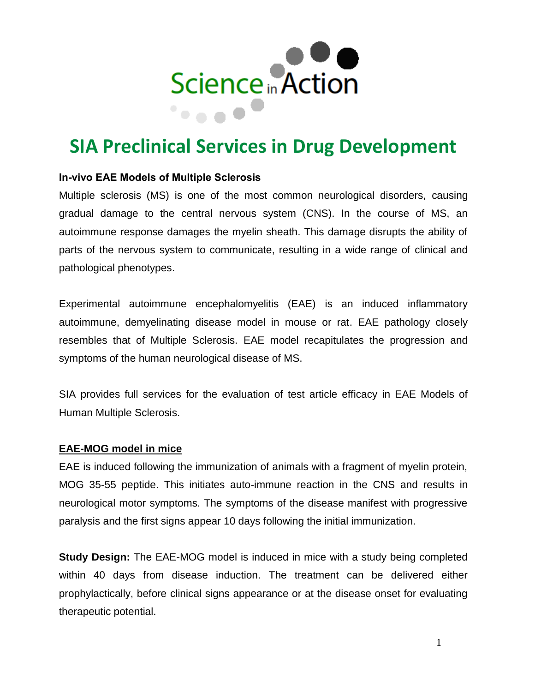

# **SIA Preclinical Services in Drug Development**

#### **In-vivo EAE Models of Multiple Sclerosis**

Multiple sclerosis (MS) is one of the most common neurological disorders, causing gradual damage to the central nervous system (CNS). In the course of MS, an autoimmune response damages the myelin sheath. This damage disrupts the ability of parts of the nervous system to communicate, resulting in a wide range of clinical and pathological phenotypes.

Experimental autoimmune encephalomyelitis (EAE) is an induced inflammatory autoimmune, demyelinating disease model in mouse or rat. EAE pathology closely resembles that of Multiple Sclerosis. EAE model recapitulates the progression and symptoms of the human neurological disease of MS.

SIA provides full services for the evaluation of test article efficacy in EAE Models of Human Multiple Sclerosis.

#### **EAE-MOG model in mice**

EAE is induced following the immunization of animals with a fragment of myelin protein, MOG 35-55 peptide. This initiates auto-immune reaction in the CNS and results in neurological motor symptoms. The symptoms of the disease manifest with progressive paralysis and the first signs appear 10 days following the initial immunization.

**Study Design:** The EAE-MOG model is induced in mice with a study being completed within 40 days from disease induction. The treatment can be delivered either prophylactically, before clinical signs appearance or at the disease onset for evaluating therapeutic potential.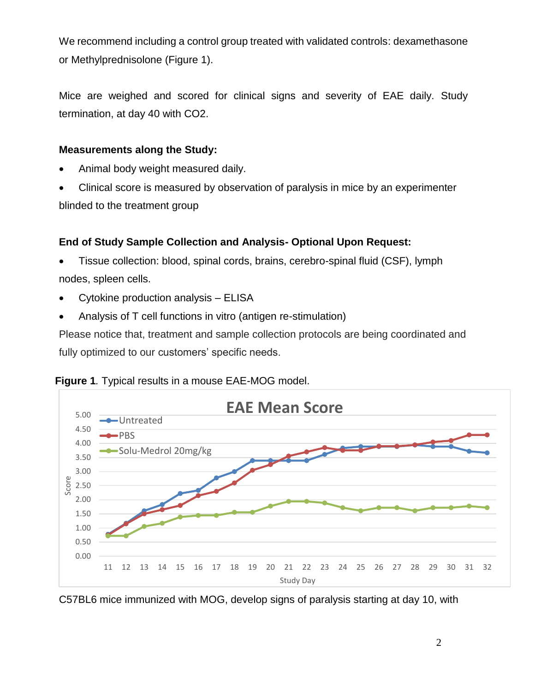We recommend including a control group treated with validated controls: dexamethasone or Methylprednisolone (Figure 1).

Mice are weighed and scored for clinical signs and severity of EAE daily. Study termination, at day 40 with CO2.

#### **Measurements along the Study:**

- Animal body weight measured daily.
- Clinical score is measured by observation of paralysis in mice by an experimenter blinded to the treatment group

### **End of Study Sample Collection and Analysis- Optional Upon Request:**

- Tissue collection: blood, spinal cords, brains, cerebro-spinal fluid (CSF), lymph nodes, spleen cells.
- Cytokine production analysis ELISA
- Analysis of T cell functions in vitro (antigen re-stimulation)

Please notice that, treatment and sample collection protocols are being coordinated and fully optimized to our customers' specific needs.





C57BL6 mice immunized with MOG, develop signs of paralysis starting at day 10, with